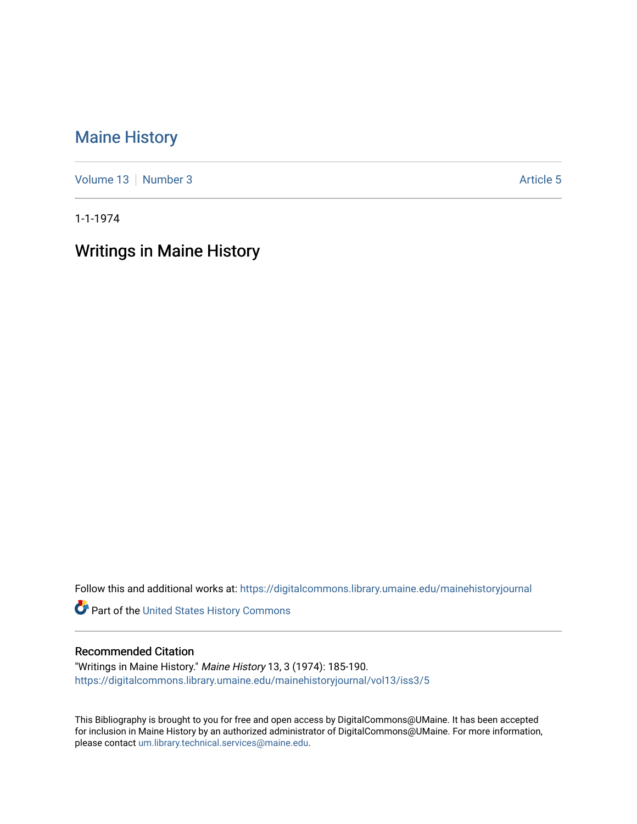## [Maine History](https://digitalcommons.library.umaine.edu/mainehistoryjournal)

[Volume 13](https://digitalcommons.library.umaine.edu/mainehistoryjournal/vol13) [Number 3](https://digitalcommons.library.umaine.edu/mainehistoryjournal/vol13/iss3) Article 5

1-1-1974

# Writings in Maine History

Follow this and additional works at: [https://digitalcommons.library.umaine.edu/mainehistoryjournal](https://digitalcommons.library.umaine.edu/mainehistoryjournal?utm_source=digitalcommons.library.umaine.edu%2Fmainehistoryjournal%2Fvol13%2Fiss3%2F5&utm_medium=PDF&utm_campaign=PDFCoverPages) 

Part of the [United States History Commons](http://network.bepress.com/hgg/discipline/495?utm_source=digitalcommons.library.umaine.edu%2Fmainehistoryjournal%2Fvol13%2Fiss3%2F5&utm_medium=PDF&utm_campaign=PDFCoverPages) 

#### Recommended Citation

"Writings in Maine History." Maine History 13, 3 (1974): 185-190. [https://digitalcommons.library.umaine.edu/mainehistoryjournal/vol13/iss3/5](https://digitalcommons.library.umaine.edu/mainehistoryjournal/vol13/iss3/5?utm_source=digitalcommons.library.umaine.edu%2Fmainehistoryjournal%2Fvol13%2Fiss3%2F5&utm_medium=PDF&utm_campaign=PDFCoverPages)

This Bibliography is brought to you for free and open access by DigitalCommons@UMaine. It has been accepted for inclusion in Maine History by an authorized administrator of DigitalCommons@UMaine. For more information, please contact [um.library.technical.services@maine.edu.](mailto:um.library.technical.services@maine.edu)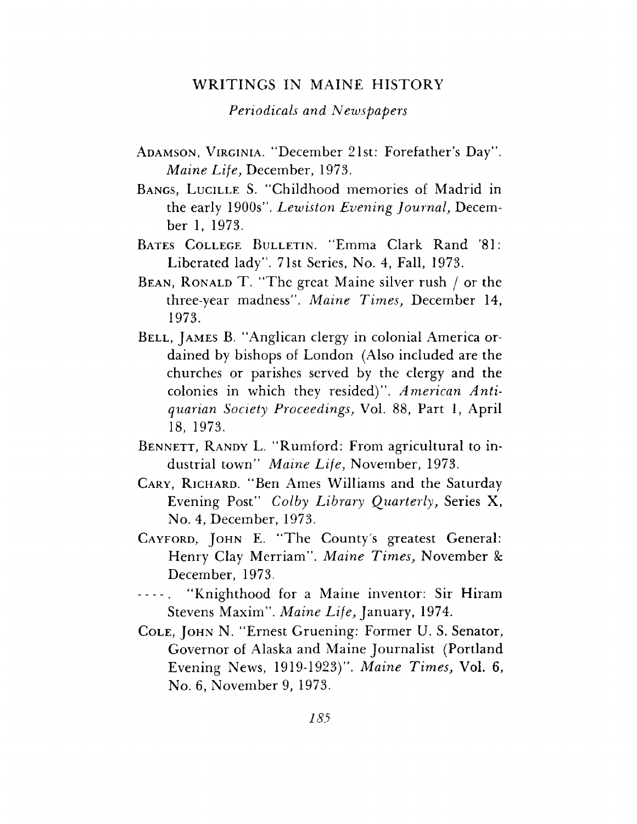### WRITINGS IN MAINE HISTORY

#### *Periodicals and Newspapers*

- Adamson, Virginia. "December 21st: Forefather'<sup>s</sup> Day\*'. *Maine Life,* December, 1973.
- BANGS, LUCILLE S. "Childhood memories of Madrid in the early 1900s". *Lewiston Evening Journal,* December 1, 1973.
- BATES COLLEGE BULLETIN. "Emma Clark Rand '81: Liberated lady". 71st Series, No. 4, Fall, 1973.
- BEAN, RONALD T. "The great Maine silver rush  $\ell$  or the three-year madness". *Maine Times,* December 14, 1973.
- BELL, JAMES B. "Anglican clergy in colonial America ordained by bishops of London (Also included are the churches or parishes served by the clergy and the colonies in which they resided)". *American Antiquarian Society Proceedings,* Vol. 88, Part 1, April 18, 1973.
- BENNETT, RANDY L. "Rumford: From agricultural to industrial town" *Maine Life,* November, 1973.
- Cary, Richard. "Ben Ames Williams and the Saturday Evening Post" *Colby Library Quarterly,* Series X, No. 4, December, 1973.
- CAYFORD, JOHN E. "The County's greatest General: Henry Clay Merriam". *Maine Times,* November & December, 1973.
- "Knighthood for a Maine inventor: Sir Hiram  $- - - -$ Stevens Maxim". *Maine Life,* January, 1974.
- Cole, John N. "Ernest Gruening: Former U. S. Senator, Governor of Alaska and Maine Journalist (Portland Evening News, 1919-1923)". *Maine Times,* Vol. 6, No. 6, November 9, 1973.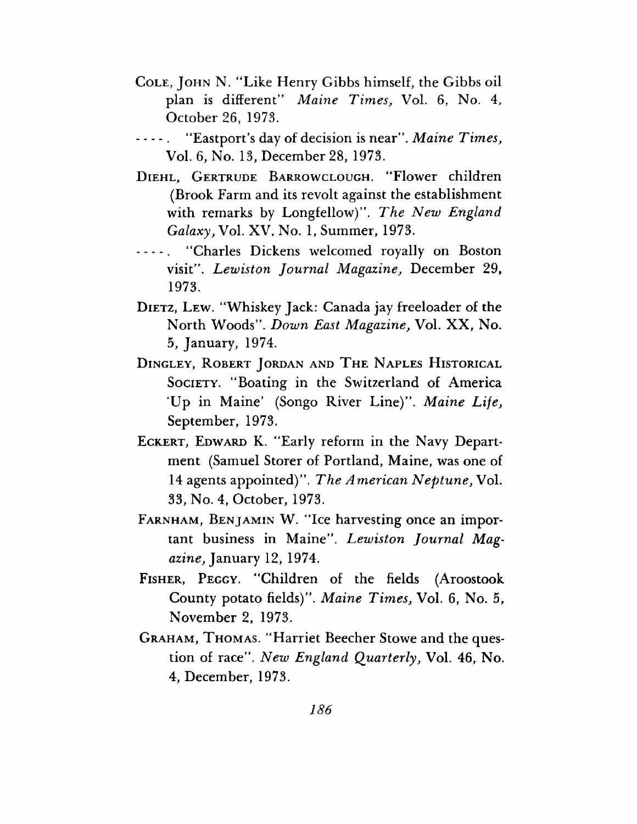- Cole, John N. "Like Henry Gibbs himself, the Gibbs oil plan is different'" *Maine Times,* Vol. 6, No. 4, October 26, 1973.
- "Eastport's day of decision is near". *Maine Times*, Vol. 6, No. 13, December 28, 1973.
- Diehl, Gertrude Barrowclough. "Flower children (Brook Farm and its revolt against the establishment with remarks by Longfellow)''. *The New England Galaxy,* Vol. XV, No. 1, Summer, 1973.
- - . "Charles Dickens welcomed royally on Boston visit''. *Lewiston Journal Magazine,* December 29, 1973.
- DIETZ, LEW. "Whiskey Jack: Canada jay freeloader of the North Woods". *Down East Magazine,* Vol. XX, No. 5, January, 1974.
- Dingley, Robert Jordan and The Naples Historical Society. "Boating in the Switzerland of America 'Up in Maine' (Songo River Line)". *Maine Life,* September, 1973.
- ECKERT, EDWARD K. "Early reform in the Navy Department (Samuel Storer of Portland, Maine, was one of 14 agents appointed)". *The American Neptune,* Vol. 33, No. 4, October, 1973.
- Farnham, Benjamin W. "Ice harvesting once an important business in Maine". *Lewiston Journal Magazine,* January 12, 1974.
- Fisher, Peggy. "Children of the fields (Aroostook County potato fields)". *Maine Times,* Vol. 6, No. 5, November 2, 1973.
- Graham, Thomas. "Harriet Beecher Stowe and the question of race". *New England Quarterly,* Vol. 46, No. 4, December, 1973.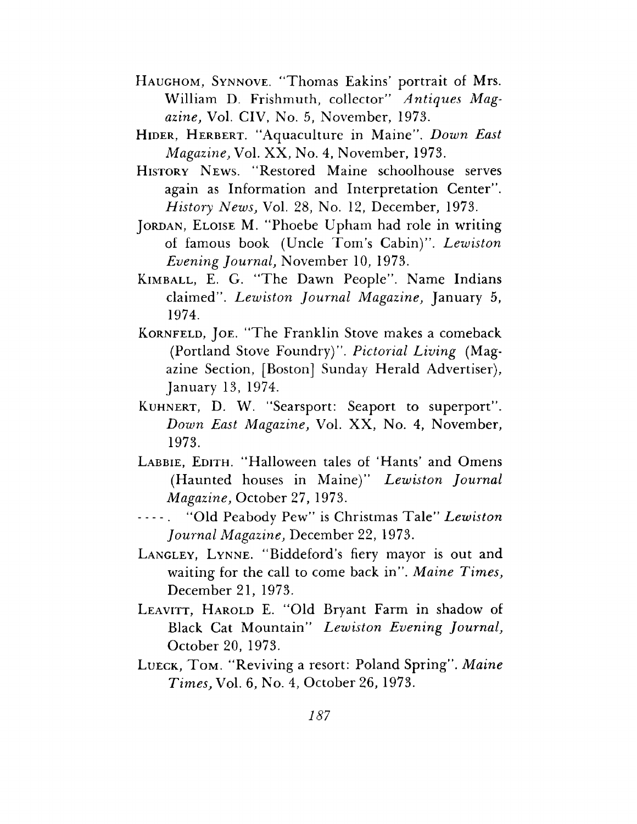- Haughom, Synnove. "Thomas Eakins' portrait of Mrs. William D. Frishmuth, collector" *Antiques Magazine,* Vol. CIV, No. 5, November, 1973.
- Hider, Herbert. "Aquaculture in Maine". *Down East Magazine,* Vol. XX, No. 4, November, 1973.
- History News. "Restored Maine schoolhouse serves again as Information and Interpretation Center". *History News,* Vol. 28, No. 12, December, 1973.
- JORDAN, ELOISE M. "Phoebe Upham had role in writing of famous book (Uncle Tom'<sup>s</sup> Cabin)". *Lewiston Evening Journal,* November 10, 1973.
- KIMBALL, E. G. "The Dawn People". Name Indians claimed". *Lewiston Journal Magazine,* January 5, 1974.
- KORNFELD, JOE. "The Franklin Stove makes a comeback (Portland Stove Foundry)". *Pictorial Living* (Magazine Section, [Boston] Sunday Herald Advertiser), January 13, 1974.
- Kuhnert, D. W. "Searsport: Seaport to superport". *Down East Magazine,* Vol. XX, No. 4, November, 1973.
- LABBIE, EDITH. "Halloween tales of 'Hants' and Omens (Haunted houses in Maine)" *Lewiston Journal Magazine,* October 27, 1973.
- "Old Peabody Pew" is Christmas Tale" *Lewiston Journal Magazine,* December 22, 1973.
- LANGLEY, LYNNE. "Biddeford's fiery mayor is out and waiting for the call to come back in". *Maine Times,* December 21, 1973.
- LEAVITT, HAROLD E. "Old Bryant Farm in shadow of Black Cat Mountain" *Lewiston Evening Journal,* October 20, 1973.
- Lueck, Tom. "Reviving <sup>a</sup> resort: Poland Spring". *Maine Times,* Vol. 6, No. 4, October 26, 1973.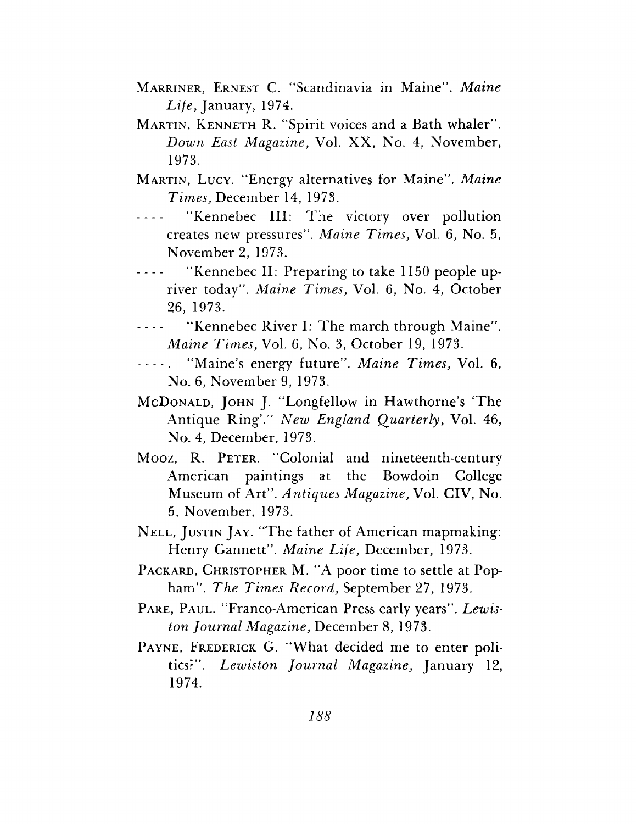- Marriner, Ernest C. "Scandinavia in Maine". *Maine Life,* January, 1974.
- Martin, Kenneth R. "Spirit voices and a Bath whaler". *Down East Magazine,* Vol. XX, No. 4, November, 1973.
- Martin, Lucy. "Energy alternatives for Maine". *Maine Times,* December 14, 1973.
- ----- "Kennebec III: The victory over pollution creates new pressures". *Maine Times,* Vol. 6, No. 5, November 2, 1973.
- ----- "Kennebec II: Preparing to take 1150 people upriver today". *Maine Times,* Vol. 6, No. 4, October 26, 1973.
- ----- "Kennebec River I: The march through Maine". *Maine Times,* Vol. 6, No. 3, October 19, 1973.
- — . "Maine'<sup>s</sup> energy future". *Maine Times,* Vol. 6, No. 6, November 9, 1973.
- McDonald, John J. "Longfellow in Hawthorne'<sup>s</sup> 'The Antique Ring'." *New England Quarterly,* Vol. 46, No. 4, December, 1973.
- Mooz, R. PETER. "Colonial and nineteenth-century American paintings at the Bowdoin College Museum of Art". *Antiques Magazine,* Vol. CIV, No. 5, November, 1973.
- Nell, Justin Jay. "The father of American mapmaking: Henry Gannett". *Maine Life,* December, 1973.
- PACKARD, CHRISTOPHER M. "A poor time to settle at Popham". *The Times Record,* September 27, 1973.
- PARE, PAUL. "Franco-American Press early years". Lewis*ton Journal Magazine,* December 8, 1973.
- PAYNE, FREDERICK G. "What decided me to enter politics?". *Lewiston Journal Magazine,* January 12, 1974.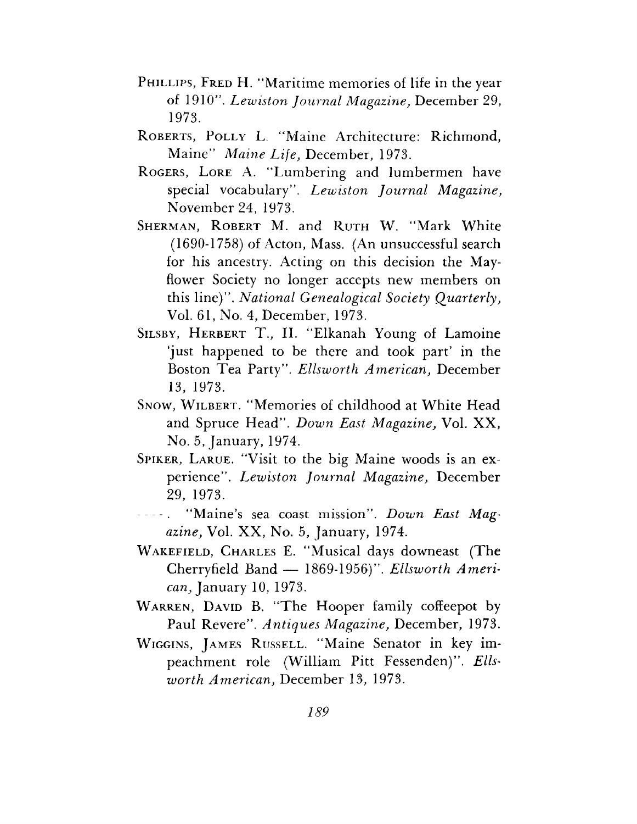- PHILLIPS, FRED H. "Maritime memories of life in the year of 1910'. *Lewiston Journal Magazine,* December 29, 1973.
- ROBERTS, POLLY L. "Maine Architecture: Richmond, Maine" *Maine Life,* December, 1973.
- Rogers, Lore A. "Lumbering and lumbermen have special vocabulary". *Lewiston Journal Magazine,* November 24, 1973.
- SHERMAN, ROBERT M. and RUTH W. "Mark White (1690-1758) of Acton, Mass. (An unsuccessful search for his ancestry. Acting on this decision the Mayflower Society no longer accepts new members on this line)". *National Genealogical Society Quarterly,* Vol. 61, No. 4, December, 1973.
- Silsby, Herbert T., II. "Elkanah Young of Lamoine 'just happened to be there and took part' in the Boston Tea Party". *Ellsworth American,* December 13, 1973.
- SNOW, WILBERT. "Memories of childhood at White Head and Spruce Head". *Down East Magazine,* Vol. XX, No. 5, January, 1974.
- Spiker, Larue. "Visit to the big Maine woods is an experience". *Lewiston Journal Magazine,* December 29, 1973.
- "Maine'<sup>s</sup> sea coast mission". *Down East Magazine,* Vol. XX, No. 5, January, 1974.
- Wakefield, Charles E. "Musical days downeast (The Cherryfield Band — 1869-1956)". *Ellsworth American,* January 10, 1973.
- WARREN, DAVID B. "The Hooper family coffeepot by Paul Revere". *Antiques Magazine,* December, 1973.
- Wiggins, James Russell. "Maine Senator in key impeachment role (William Pitt Fessenden)". *Ellsworth American,* December 13, 1973.